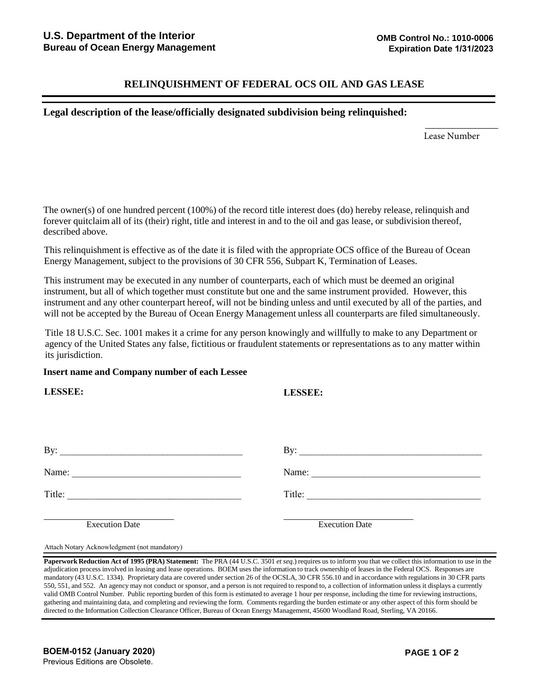## **RELINQUISHMENT OF FEDERAL OCS OIL AND GAS LEASE**

## **Legal description of the lease/officially designated subdivision being relinquished:**

Lease Number

 $\overline{\phantom{a}}$  , where  $\overline{\phantom{a}}$ 

The owner(s) of one hundred percent (100%) of the record title interest does (do) hereby release, relinquish and forever quitclaim all of its (their) right, title and interest in and to the oil and gas lease, or subdivision thereof, described above.

This relinquishment is effective as of the date it is filed with the appropriate OCS office of the Bureau of Ocean Energy Management, subject to the provisions of 30 CFR 556, Subpart K, Termination of Leases.

This instrument may be executed in any number of counterparts, each of which must be deemed an original instrument, but all of which together must constitute but one and the same instrument provided. However, this instrument and any other counterpart hereof, will not be binding unless and until executed by all of the parties, and will not be accepted by the Bureau of Ocean Energy Management unless all counterparts are filed simultaneously.

Title 18 U.S.C. Sec. 1001 makes it a crime for any person knowingly and willfully to make to any Department or agency of the United States any false, fictitious or fraudulent statements or representations as to any matter within its jurisdiction.

## **Insert name and Company number of each Lessee**

| <b>LESSEE:</b>                                                                                                                    | <b>LESSEE:</b>        |
|-----------------------------------------------------------------------------------------------------------------------------------|-----------------------|
|                                                                                                                                   |                       |
| By: $\qquad \qquad$                                                                                                               | By: $\qquad \qquad$   |
| Name:                                                                                                                             | Name:                 |
| Title:<br><u> 1980 - Jan Samuel Barbara, margaret e</u> n 1980 eta 1980 eta 1980 eta 1980 eta 1980 eta 1980 eta 1980 eta 1980 eta | Title:                |
| <b>Execution Date</b>                                                                                                             | <b>Execution Date</b> |

Attach Notary Acknowledgment (not mandatory)

**Paperwork Reduction Act of 1995 (PRA) Statement:** The PRA (44 U.S.C. 3501 *et seq*.) requires us to inform you that we collect this information to use in the adjudication process involved in leasing and lease operations. BOEM uses the information to track ownership of leases in the Federal OCS. Responses are mandatory (43 U.S.C. 1334). Proprietary data are covered under section 26 of the OCSLA, 30 CFR 556.10 and in accordance with regulations in 30 CFR parts 550, 551, and 552. An agency may not conduct or sponsor, and a person is not required to respond to, a collection of information unless it displays a currently valid OMB Control Number. Public reporting burden of this form is estimated to average 1 hour per response, including the time for reviewing instructions, gathering and maintaining data, and completing and reviewing the form. Comments regarding the burden estimate or any other aspect of this form should be directed to the Information Collection Clearance Officer, Bureau of Ocean Energy Management, 45600 Woodland Road, Sterling, VA 20166.